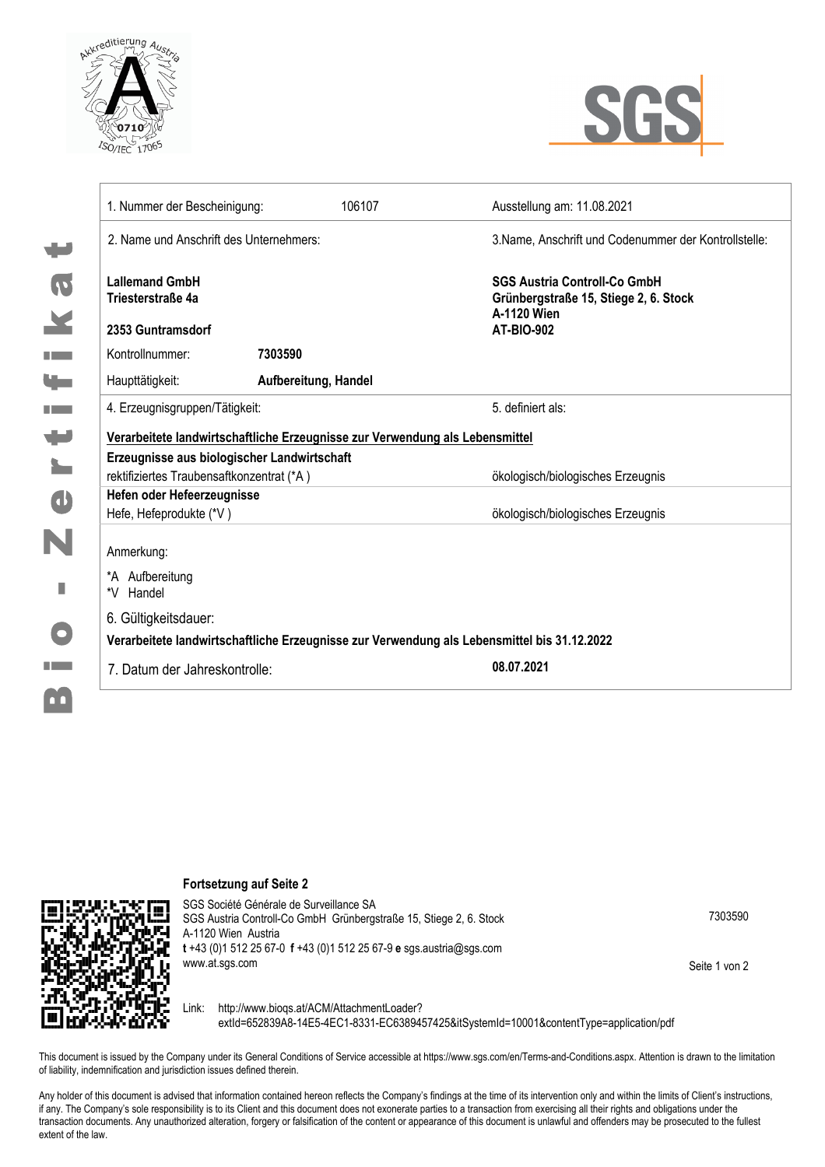



| 1. Nummer der Bescheinigung:                                                                | 106107               | Ausstellung am: 11.08.2021                                                                                       |
|---------------------------------------------------------------------------------------------|----------------------|------------------------------------------------------------------------------------------------------------------|
| 2. Name und Anschrift des Unternehmers:                                                     |                      | 3. Name, Anschrift und Codenummer der Kontrollstelle:                                                            |
| <b>Lallemand GmbH</b><br>Triesterstraße 4a<br>2353 Guntramsdorf                             |                      | <b>SGS Austria Controll-Co GmbH</b><br>Grünbergstraße 15, Stiege 2, 6. Stock<br>A-1120 Wien<br><b>AT-BIO-902</b> |
| Kontrollnummer:                                                                             | 7303590              |                                                                                                                  |
| Haupttätigkeit:                                                                             | Aufbereitung, Handel |                                                                                                                  |
| 4. Erzeugnisgruppen/Tätigkeit:                                                              |                      | 5. definiert als:                                                                                                |
| Verarbeitete landwirtschaftliche Erzeugnisse zur Verwendung als Lebensmittel                |                      |                                                                                                                  |
| Erzeugnisse aus biologischer Landwirtschaft                                                 |                      |                                                                                                                  |
| rektifiziertes Traubensaftkonzentrat (*A)                                                   |                      | ökologisch/biologisches Erzeugnis                                                                                |
| Hefen oder Hefeerzeugnisse                                                                  |                      |                                                                                                                  |
| Hefe, Hefeprodukte (*V)                                                                     |                      | ökologisch/biologisches Erzeugnis                                                                                |
| Anmerkung:<br>*A Aufbereitung<br>*V Handel                                                  |                      |                                                                                                                  |
| 6. Gültigkeitsdauer:                                                                        |                      |                                                                                                                  |
| Verarbeitete landwirtschaftliche Erzeugnisse zur Verwendung als Lebensmittel bis 31.12.2022 |                      |                                                                                                                  |
| 7. Datum der Jahreskontrolle:                                                               |                      | 08.07.2021                                                                                                       |

**Fortsetzung auf Seite 2**



SGS Société Générale de Surveillance SA SGS Austria Controll-Co GmbH Grünbergstraße 15, Stiege 2, 6. Stock A-1120 Wien Austria **t** +43 (0)1 512 25 67-0 **f** +43 (0)1 512 25 67-9 **e** sgs.austria@sgs.com www.at.sgs.com

7303590

Seite 1 von 2

Link: http://www.bioqs.at/ACM/AttachmentLoader? extId=652839A8-14E5-4EC1-8331-EC6389457425&itSystemId=10001&contentType=application/pdf

This document is issued by the Company under its General Conditions of Service accessible at https://www.sgs.com/en/Terms-and-Conditions.aspx. Attention is drawn to the limitation of liability, indemnification and jurisdiction issues defined therein.

Any holder of this document is advised that information contained hereon reflects the Company's findings at the time of its intervention only and within the limits of Client's instructions, if any. The Company's sole responsibility is to its Client and this document does not exonerate parties to a transaction from exercising all their rights and obligations under the transaction documents. Any unauthorized alteration, forgery or falsification of the content or appearance of this document is unlawful and offenders may be prosecuted to the fullest extent of the law.